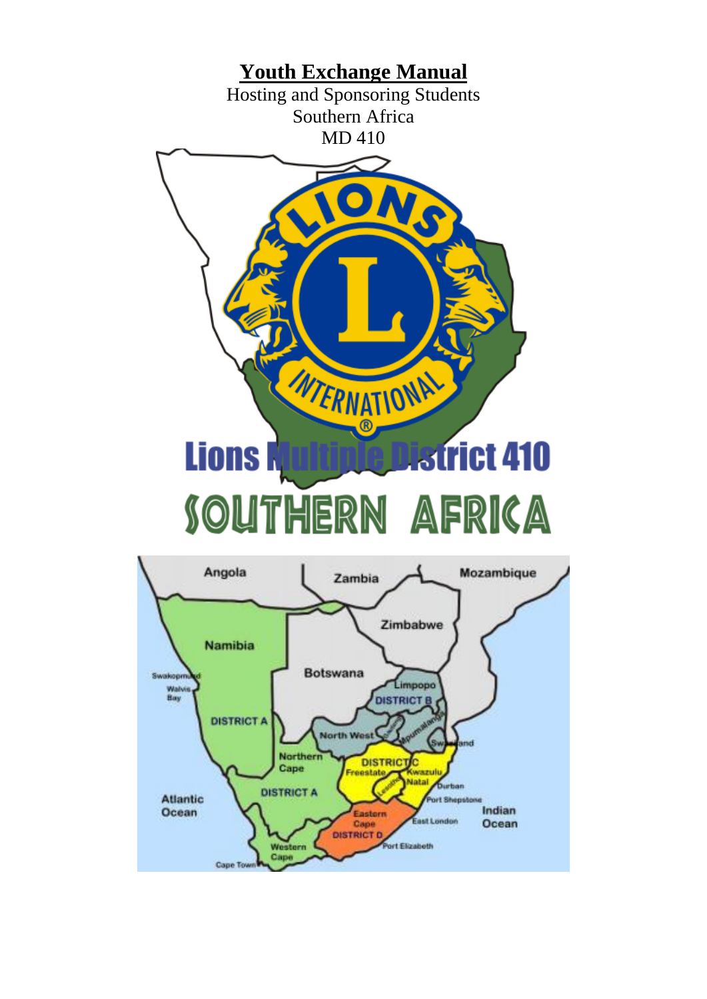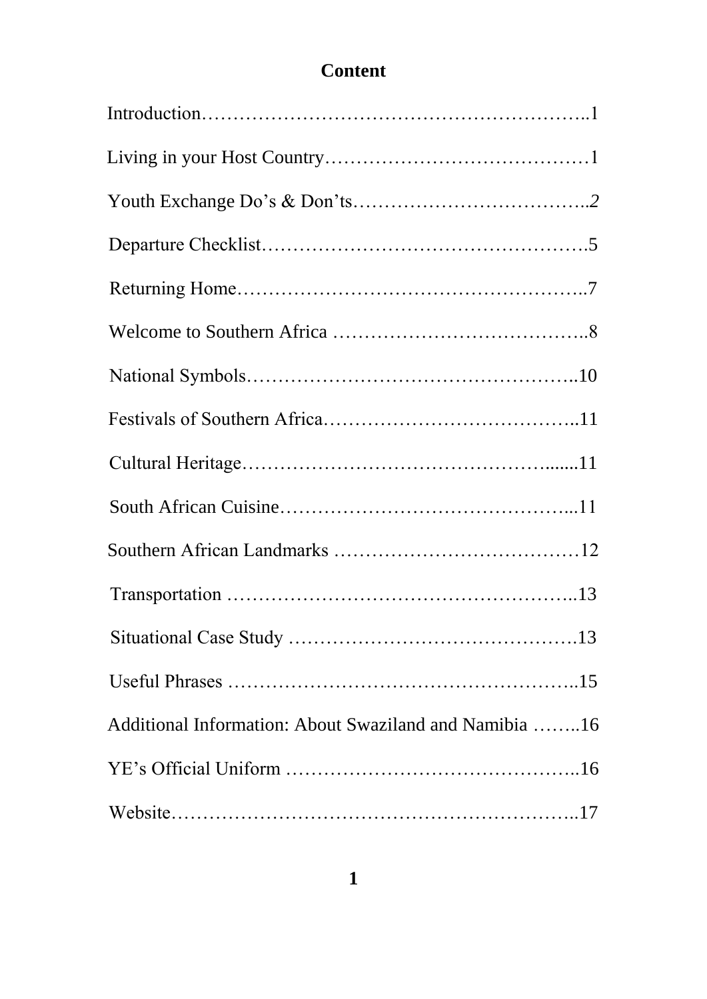# **Content**

| Additional Information: About Swaziland and Namibia 16 |  |
|--------------------------------------------------------|--|
|                                                        |  |
|                                                        |  |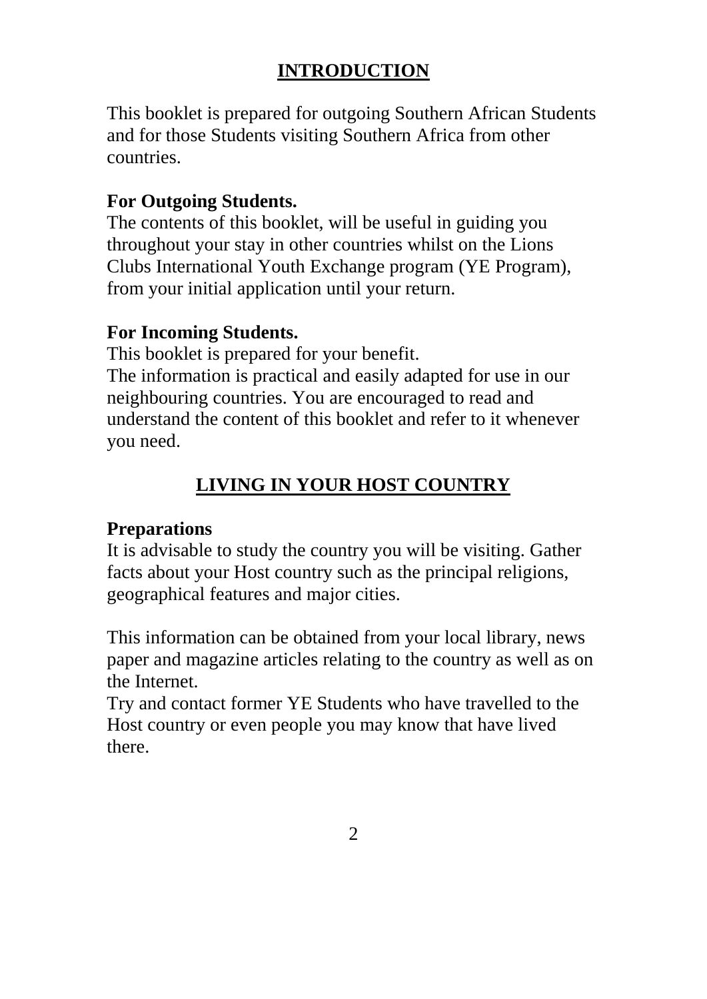# **INTRODUCTION**

This booklet is prepared for outgoing Southern African Students and for those Students visiting Southern Africa from other countries.

# **For Outgoing Students.**

The contents of this booklet, will be useful in guiding you throughout your stay in other countries whilst on the Lions Clubs International Youth Exchange program (YE Program), from your initial application until your return.

## **For Incoming Students.**

This booklet is prepared for your benefit.

The information is practical and easily adapted for use in our neighbouring countries. You are encouraged to read and understand the content of this booklet and refer to it whenever you need.

# **LIVING IN YOUR HOST COUNTRY**

## **Preparations**

It is advisable to study the country you will be visiting. Gather facts about your Host country such as the principal religions, geographical features and major cities.

This information can be obtained from your local library, news paper and magazine articles relating to the country as well as on the Internet.

Try and contact former YE Students who have travelled to the Host country or even people you may know that have lived there.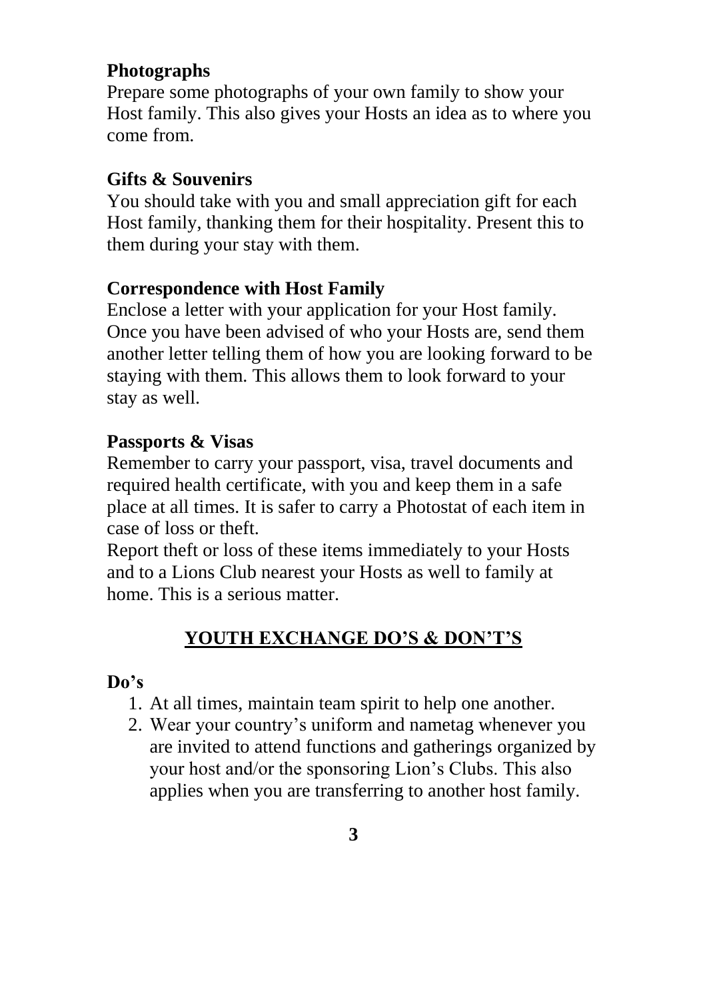## **Photographs**

Prepare some photographs of your own family to show your Host family. This also gives your Hosts an idea as to where you come from.

## **Gifts & Souvenirs**

You should take with you and small appreciation gift for each Host family, thanking them for their hospitality. Present this to them during your stay with them.

## **Correspondence with Host Family**

Enclose a letter with your application for your Host family. Once you have been advised of who your Hosts are, send them another letter telling them of how you are looking forward to be staying with them. This allows them to look forward to your stay as well.

## **Passports & Visas**

Remember to carry your passport, visa, travel documents and required health certificate, with you and keep them in a safe place at all times. It is safer to carry a Photostat of each item in case of loss or theft.

Report theft or loss of these items immediately to your Hosts and to a Lions Club nearest your Hosts as well to family at home. This is a serious matter.

# **YOUTH EXCHANGE DO'S & DON'T'S**

#### **Do's**

- 1. At all times, maintain team spirit to help one another.
- 2. Wear your country's uniform and nametag whenever you are invited to attend functions and gatherings organized by your host and/or the sponsoring Lion's Clubs. This also applies when you are transferring to another host family.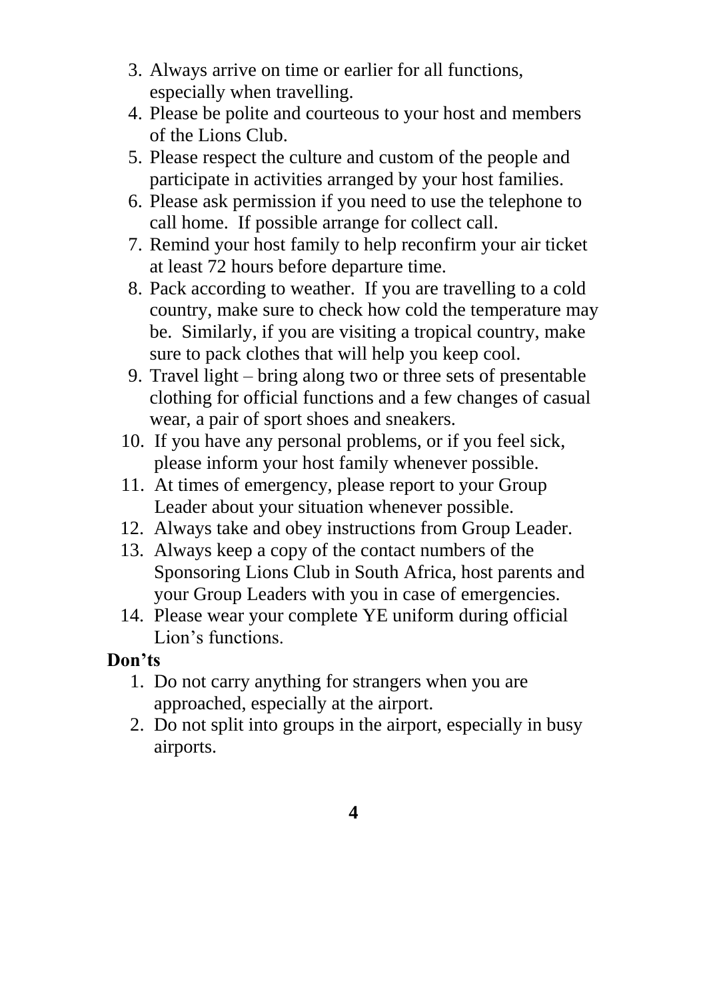- 3. Always arrive on time or earlier for all functions, especially when travelling.
- 4. Please be polite and courteous to your host and members of the Lions Club.
- 5. Please respect the culture and custom of the people and participate in activities arranged by your host families.
- 6. Please ask permission if you need to use the telephone to call home. If possible arrange for collect call.
- 7. Remind your host family to help reconfirm your air ticket at least 72 hours before departure time.
- 8. Pack according to weather. If you are travelling to a cold country, make sure to check how cold the temperature may be. Similarly, if you are visiting a tropical country, make sure to pack clothes that will help you keep cool.
- 9. Travel light bring along two or three sets of presentable clothing for official functions and a few changes of casual wear, a pair of sport shoes and sneakers.
- 10. If you have any personal problems, or if you feel sick, please inform your host family whenever possible.
- 11. At times of emergency, please report to your Group Leader about your situation whenever possible.
- 12. Always take and obey instructions from Group Leader.
- 13. Always keep a copy of the contact numbers of the Sponsoring Lions Club in South Africa, host parents and your Group Leaders with you in case of emergencies.
- 14. Please wear your complete YE uniform during official Lion's functions.

## **Don'ts**

- 1. Do not carry anything for strangers when you are approached, especially at the airport.
- 2. Do not split into groups in the airport, especially in busy airports.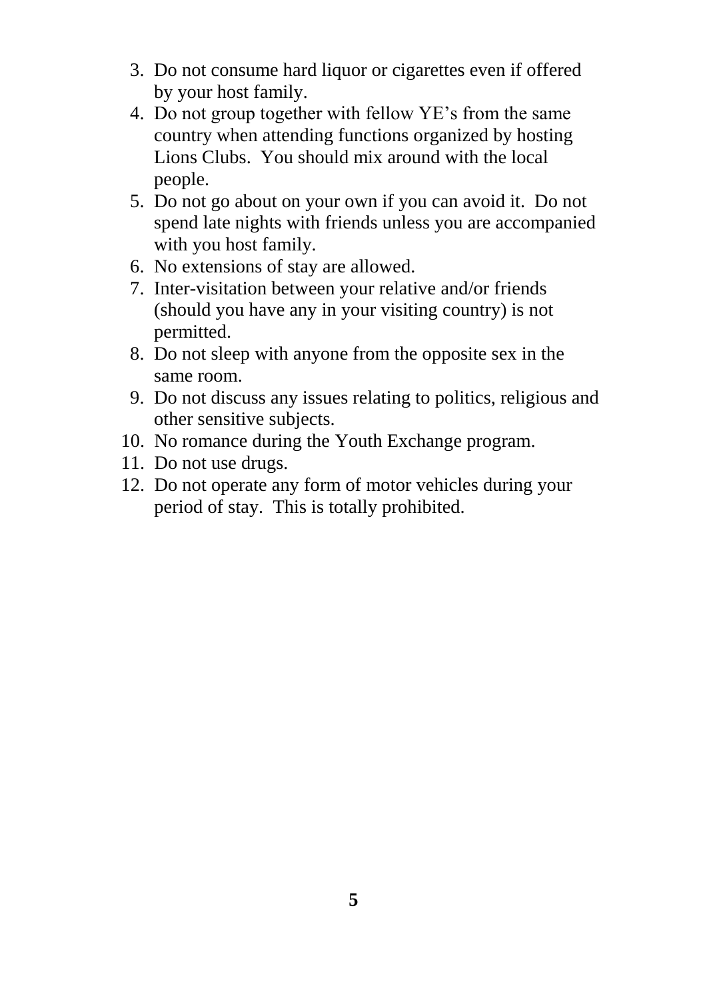- 3. Do not consume hard liquor or cigarettes even if offered by your host family.
- 4. Do not group together with fellow YE's from the same country when attending functions organized by hosting Lions Clubs. You should mix around with the local people.
- 5. Do not go about on your own if you can avoid it. Do not spend late nights with friends unless you are accompanied with you host family.
- 6. No extensions of stay are allowed.
- 7. Inter-visitation between your relative and/or friends (should you have any in your visiting country) is not permitted.
- 8. Do not sleep with anyone from the opposite sex in the same room.
- 9. Do not discuss any issues relating to politics, religious and other sensitive subjects.
- 10. No romance during the Youth Exchange program.
- 11. Do not use drugs.
- 12. Do not operate any form of motor vehicles during your period of stay. This is totally prohibited.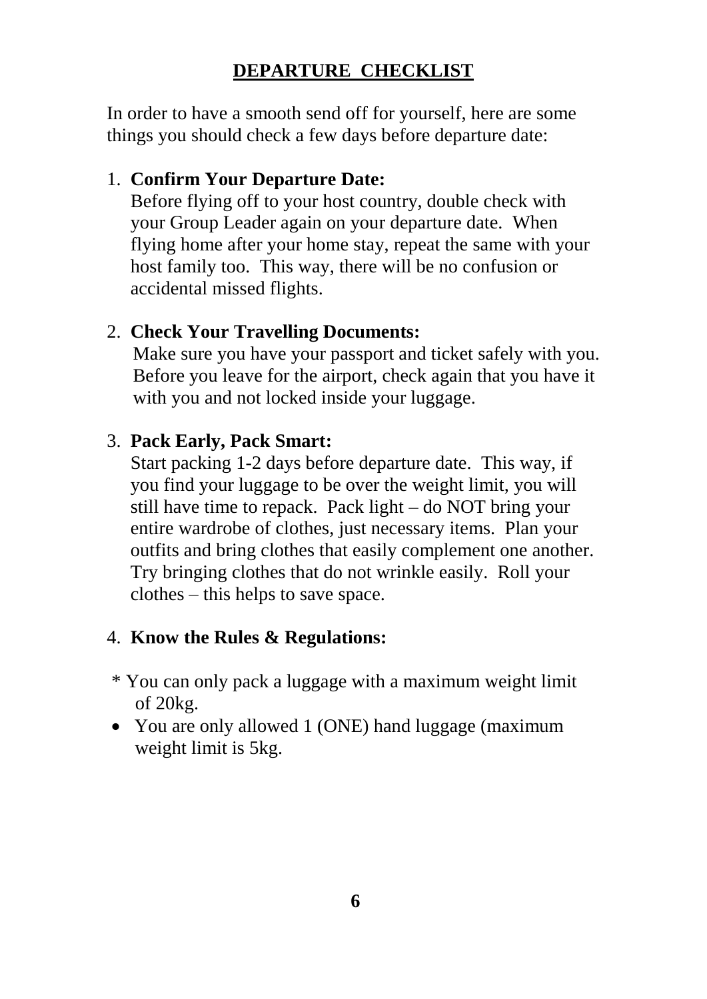# **DEPARTURE CHECKLIST**

In order to have a smooth send off for yourself, here are some things you should check a few days before departure date:

#### 1. **Confirm Your Departure Date:**

Before flying off to your host country, double check with your Group Leader again on your departure date. When flying home after your home stay, repeat the same with your host family too. This way, there will be no confusion or accidental missed flights.

#### 2. **Check Your Travelling Documents:**

Make sure you have your passport and ticket safely with you. Before you leave for the airport, check again that you have it with you and not locked inside your luggage.

#### 3. **Pack Early, Pack Smart:**

 Start packing 1-2 days before departure date. This way, if you find your luggage to be over the weight limit, you will still have time to repack. Pack light – do NOT bring your entire wardrobe of clothes, just necessary items. Plan your outfits and bring clothes that easily complement one another. Try bringing clothes that do not wrinkle easily. Roll your clothes – this helps to save space.

#### 4. **Know the Rules & Regulations:**

- \* You can only pack a luggage with a maximum weight limit of 20kg.
- You are only allowed 1 (ONE) hand luggage (maximum weight limit is 5kg.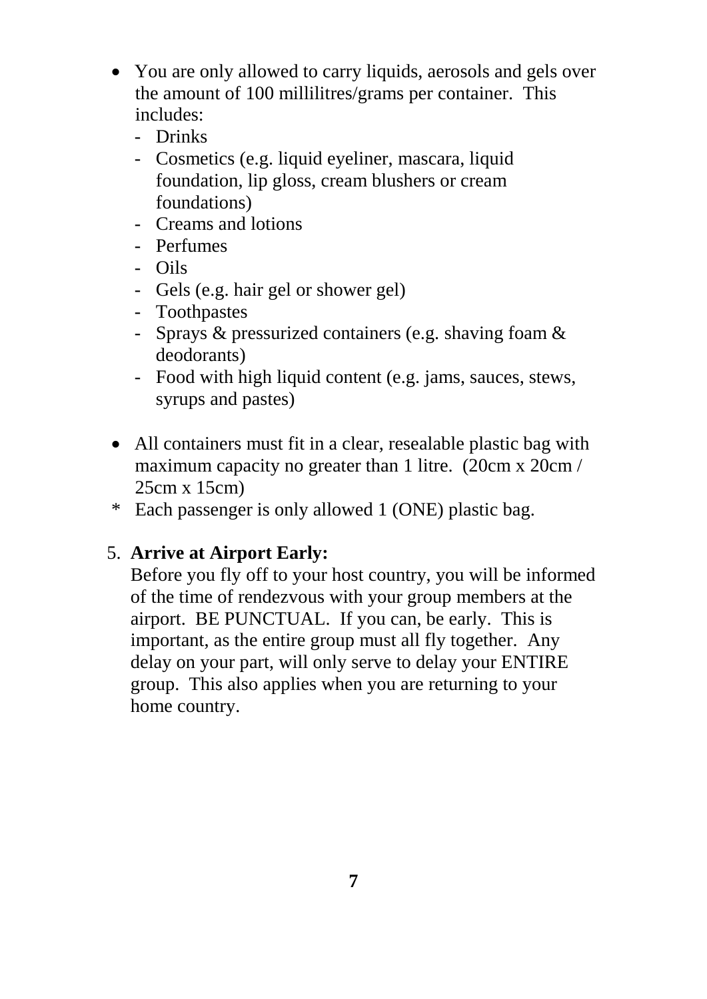- You are only allowed to carry liquids, aerosols and gels over the amount of 100 millilitres/grams per container. This includes:
	- Drinks
	- Cosmetics (e.g. liquid eyeliner, mascara, liquid foundation, lip gloss, cream blushers or cream foundations)
	- Creams and lotions
	- Perfumes
	- Oils
	- Gels (e.g. hair gel or shower gel)
	- Toothpastes
	- Sprays & pressurized containers (e.g. shaving foam & deodorants)
	- Food with high liquid content (e.g. jams, sauces, stews, syrups and pastes)
- All containers must fit in a clear, resealable plastic bag with maximum capacity no greater than 1 litre. (20cm x 20cm / 25cm x 15cm)
- \* Each passenger is only allowed 1 (ONE) plastic bag.

## 5. **Arrive at Airport Early:**

Before you fly off to your host country, you will be informed of the time of rendezvous with your group members at the airport. BE PUNCTUAL. If you can, be early. This is important, as the entire group must all fly together. Any delay on your part, will only serve to delay your ENTIRE group. This also applies when you are returning to your home country.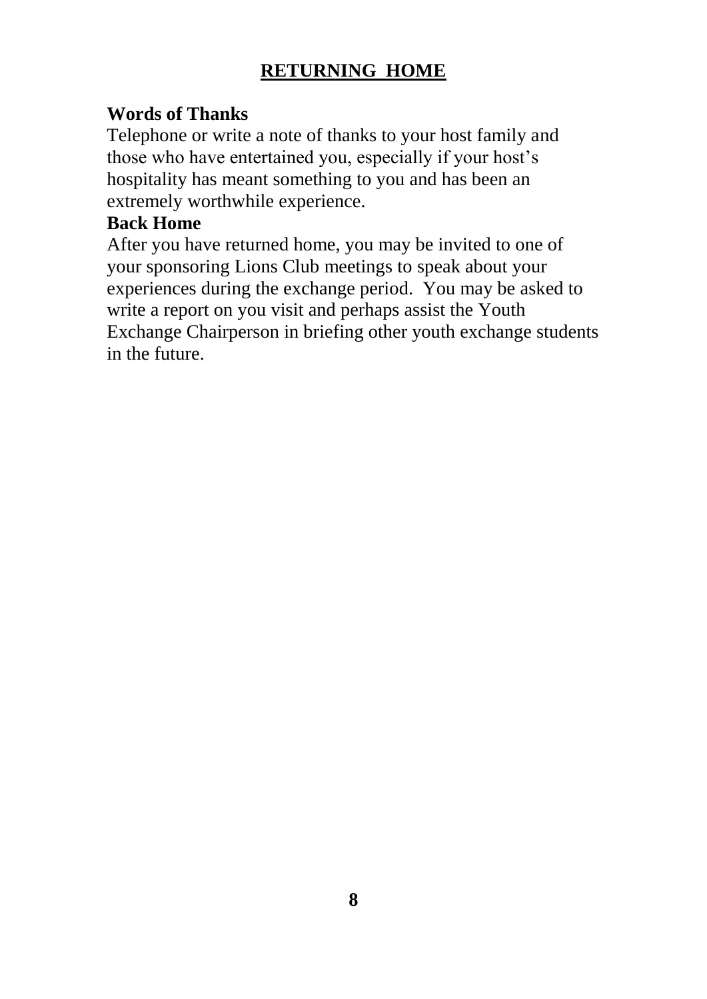# **RETURNING HOME**

## **Words of Thanks**

Telephone or write a note of thanks to your host family and those who have entertained you, especially if your host's hospitality has meant something to you and has been an extremely worthwhile experience.

### **Back Home**

After you have returned home, you may be invited to one of your sponsoring Lions Club meetings to speak about your experiences during the exchange period. You may be asked to write a report on you visit and perhaps assist the Youth Exchange Chairperson in briefing other youth exchange students in the future.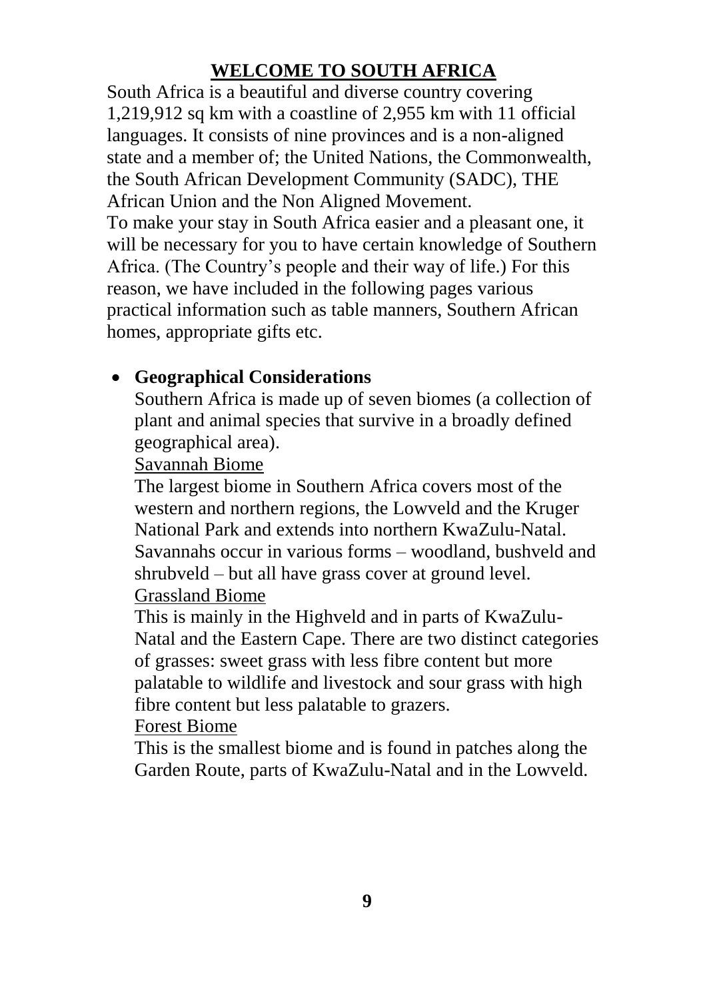# **WELCOME TO SOUTH AFRICA**

South Africa is a beautiful and diverse country covering 1,219,912 sq km with a coastline of 2,955 km with 11 official languages. It consists of nine provinces and is a non-aligned state and a member of; the United Nations, the Commonwealth, the South African Development Community (SADC), THE African Union and the Non Aligned Movement. To make your stay in South Africa easier and a pleasant one, it will be necessary for you to have certain knowledge of Southern Africa. (The Country's people and their way of life.) For this reason, we have included in the following pages various practical information such as table manners, Southern African homes, appropriate gifts etc.

## **Geographical Considerations**

Southern Africa is made up of seven biomes (a collection of plant and animal species that survive in a broadly defined geographical area).

Savannah Biome

The largest biome in Southern Africa covers most of the western and northern regions, the Lowveld and the Kruger National Park and extends into northern KwaZulu-Natal. Savannahs occur in various forms – woodland, bushveld and shrubveld – but all have grass cover at ground level. Grassland Biome

This is mainly in the Highveld and in parts of KwaZulu-Natal and the Eastern Cape. There are two distinct categories of grasses: sweet grass with less fibre content but more palatable to wildlife and livestock and sour grass with high fibre content but less palatable to grazers.

#### Forest Biome

This is the smallest biome and is found in patches along the Garden Route, parts of KwaZulu-Natal and in the Lowveld.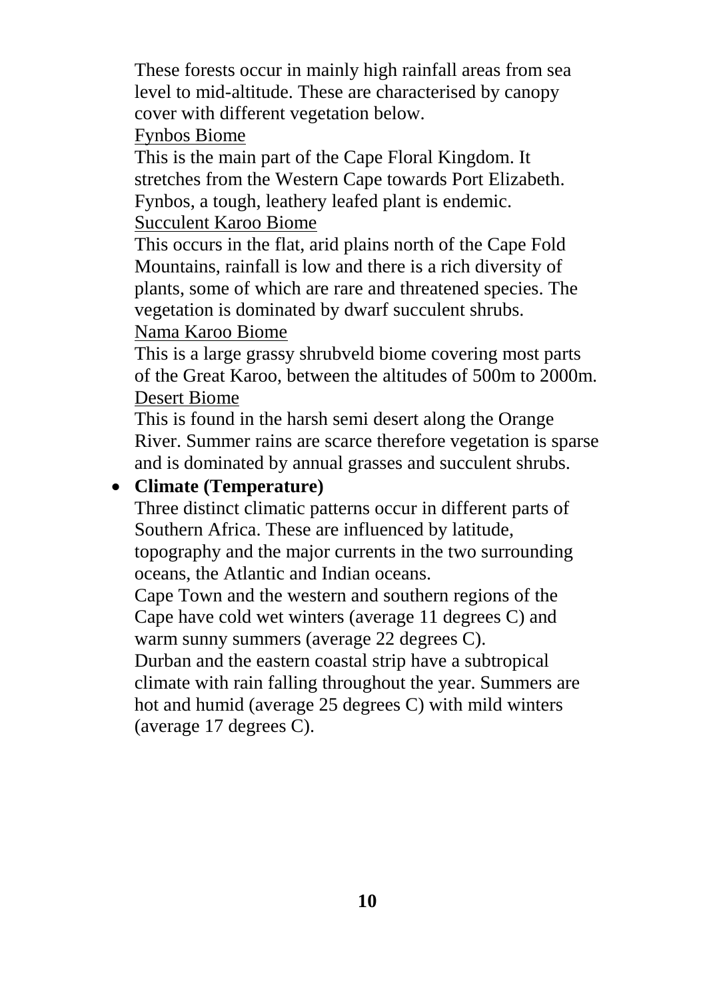These forests occur in mainly high rainfall areas from sea level to mid-altitude. These are characterised by canopy cover with different vegetation below.

Fynbos Biome

This is the main part of the Cape Floral Kingdom. It stretches from the Western Cape towards Port Elizabeth. Fynbos, a tough, leathery leafed plant is endemic. Succulent Karoo Biome

This occurs in the flat, arid plains north of the Cape Fold Mountains, rainfall is low and there is a rich diversity of plants, some of which are rare and threatened species. The vegetation is dominated by dwarf succulent shrubs.

Nama Karoo Biome

This is a large grassy shrubveld biome covering most parts of the Great Karoo, between the altitudes of 500m to 2000m. Desert Biome

This is found in the harsh semi desert along the Orange River. Summer rains are scarce therefore vegetation is sparse and is dominated by annual grasses and succulent shrubs.

# **Climate (Temperature)**

Three distinct climatic patterns occur in different parts of Southern Africa. These are influenced by latitude, topography and the major currents in the two surrounding oceans, the Atlantic and Indian oceans.

Cape Town and the western and southern regions of the Cape have cold wet winters (average 11 degrees C) and warm sunny summers (average 22 degrees C).

Durban and the eastern coastal strip have a subtropical climate with rain falling throughout the year. Summers are hot and humid (average 25 degrees C) with mild winters (average 17 degrees C).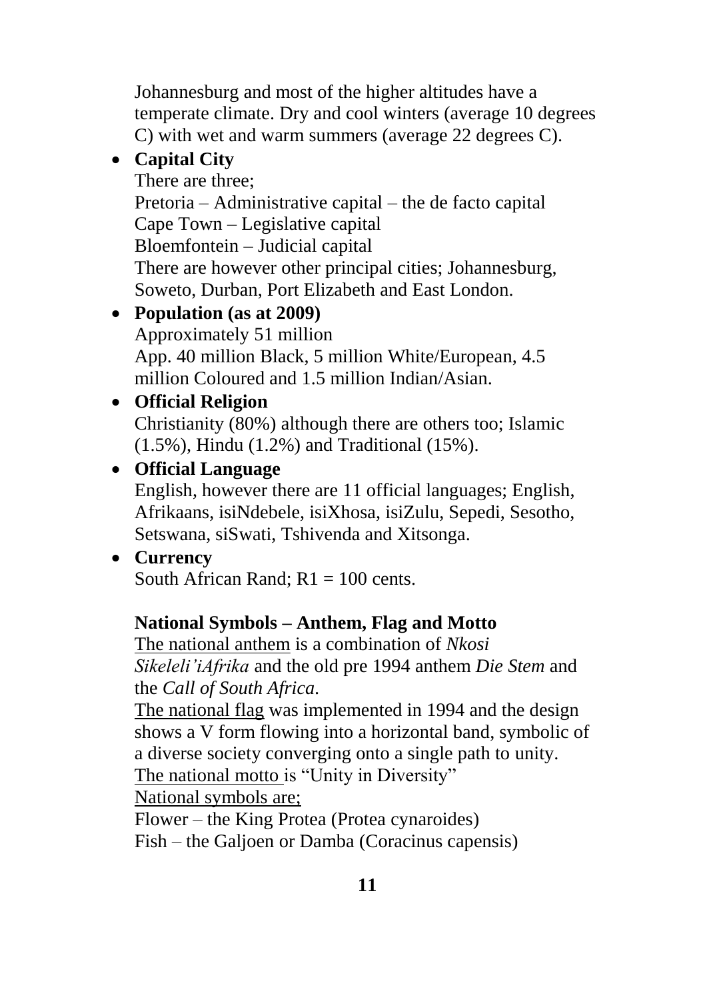Johannesburg and most of the higher altitudes have a temperate climate. Dry and cool winters (average 10 degrees C) with wet and warm summers (average 22 degrees C).

# **Capital City**

There are three; Pretoria – Administrative capital – the de facto capital Cape Town – Legislative capital Bloemfontein – Judicial capital There are however other principal cities; Johannesburg, Soweto, Durban, Port Elizabeth and East London.

 **Population (as at 2009)** Approximately 51 million App. 40 million Black, 5 million White/European, 4.5 million Coloured and 1.5 million Indian/Asian.

# **Official Religion**

Christianity (80%) although there are others too; Islamic (1.5%), Hindu (1.2%) and Traditional (15%).

# **Official Language**

English, however there are 11 official languages; English, Afrikaans, isiNdebele, isiXhosa, isiZulu, Sepedi, Sesotho, Setswana, siSwati, Tshivenda and Xitsonga.

# **Currency**

South African Rand; R1 = 100 cents.

# **National Symbols – Anthem, Flag and Motto**

The national anthem is a combination of *Nkosi Sikeleli'iAfrika* and the old pre 1994 anthem *Die Stem* and the *Call of South Africa.*

The national flag was implemented in 1994 and the design shows a V form flowing into a horizontal band, symbolic of a diverse society converging onto a single path to unity. The national motto is "Unity in Diversity"

National symbols are;

Flower – the King Protea (Protea cynaroides) Fish – the Galjoen or Damba (Coracinus capensis)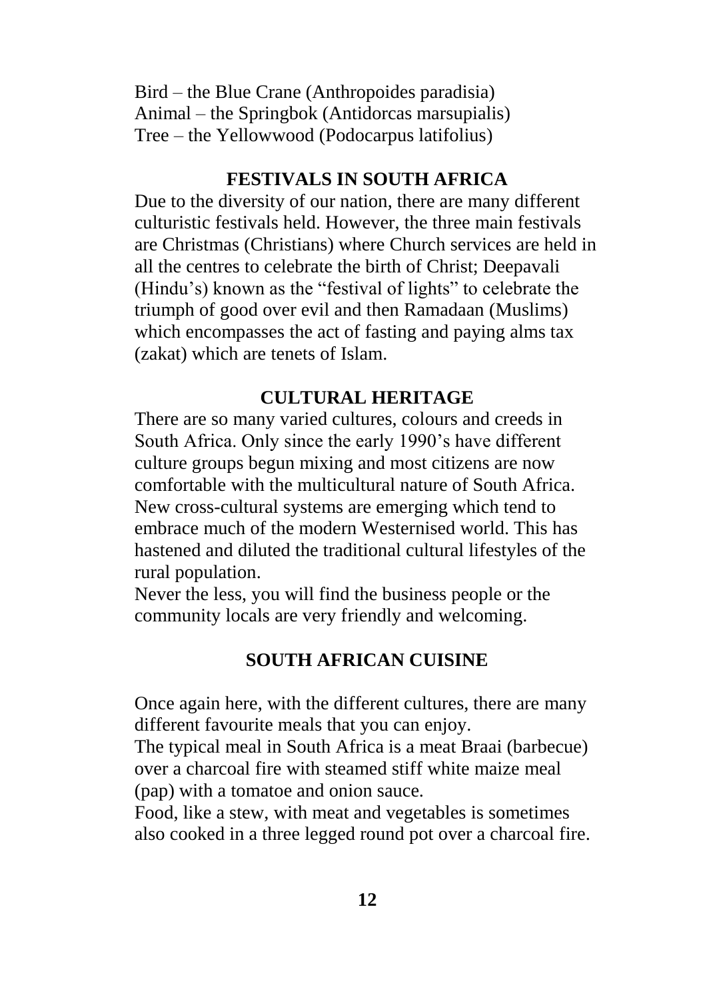Bird – the Blue Crane (Anthropoides paradisia) Animal – the Springbok (Antidorcas marsupialis) Tree – the Yellowwood (Podocarpus latifolius)

#### **FESTIVALS IN SOUTH AFRICA**

Due to the diversity of our nation, there are many different culturistic festivals held. However, the three main festivals are Christmas (Christians) where Church services are held in all the centres to celebrate the birth of Christ; Deepavali (Hindu's) known as the "festival of lights" to celebrate the triumph of good over evil and then Ramadaan (Muslims) which encompasses the act of fasting and paying alms tax (zakat) which are tenets of Islam.

### **CULTURAL HERITAGE**

There are so many varied cultures, colours and creeds in South Africa. Only since the early 1990's have different culture groups begun mixing and most citizens are now comfortable with the multicultural nature of South Africa. New cross-cultural systems are emerging which tend to embrace much of the modern Westernised world. This has hastened and diluted the traditional cultural lifestyles of the rural population.

Never the less, you will find the business people or the community locals are very friendly and welcoming.

### **SOUTH AFRICAN CUISINE**

Once again here, with the different cultures, there are many different favourite meals that you can enjoy.

The typical meal in South Africa is a meat Braai (barbecue) over a charcoal fire with steamed stiff white maize meal (pap) with a tomatoe and onion sauce.

Food, like a stew, with meat and vegetables is sometimes also cooked in a three legged round pot over a charcoal fire.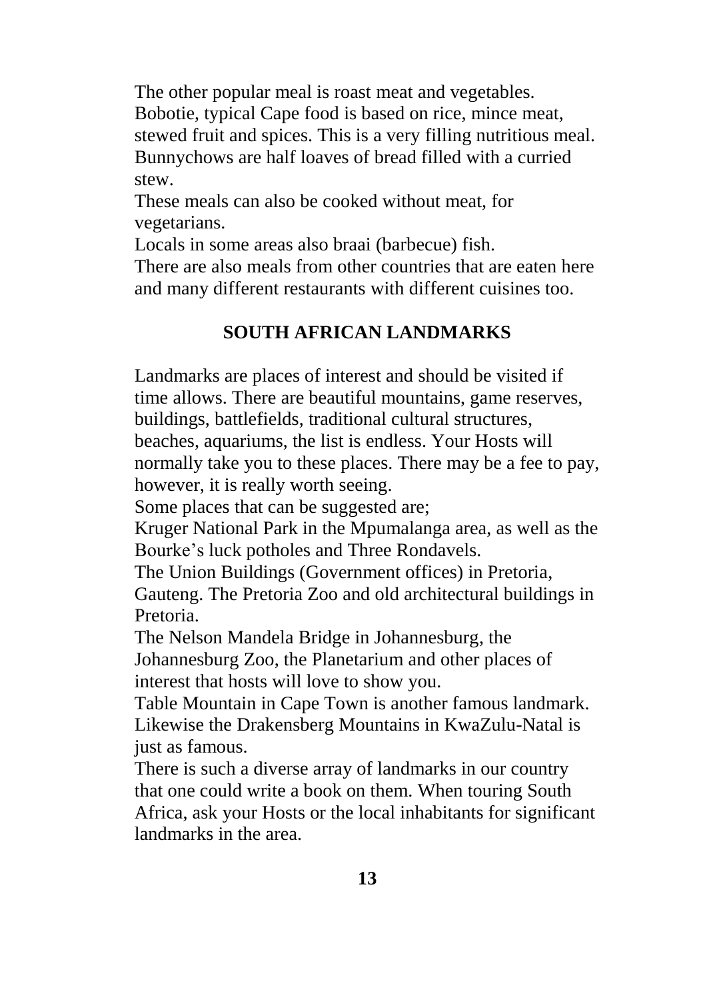The other popular meal is roast meat and vegetables. Bobotie, typical Cape food is based on rice, mince meat, stewed fruit and spices. This is a very filling nutritious meal. Bunnychows are half loaves of bread filled with a curried stew.

These meals can also be cooked without meat, for vegetarians.

Locals in some areas also braai (barbecue) fish.

There are also meals from other countries that are eaten here and many different restaurants with different cuisines too.

## **SOUTH AFRICAN LANDMARKS**

Landmarks are places of interest and should be visited if time allows. There are beautiful mountains, game reserves, buildings, battlefields, traditional cultural structures, beaches, aquariums, the list is endless. Your Hosts will normally take you to these places. There may be a fee to pay, however, it is really worth seeing.

Some places that can be suggested are;

Kruger National Park in the Mpumalanga area, as well as the Bourke's luck potholes and Three Rondavels.

The Union Buildings (Government offices) in Pretoria, Gauteng. The Pretoria Zoo and old architectural buildings in Pretoria.

The Nelson Mandela Bridge in Johannesburg, the Johannesburg Zoo, the Planetarium and other places of interest that hosts will love to show you.

Table Mountain in Cape Town is another famous landmark. Likewise the Drakensberg Mountains in KwaZulu-Natal is just as famous.

There is such a diverse array of landmarks in our country that one could write a book on them. When touring South Africa, ask your Hosts or the local inhabitants for significant landmarks in the area.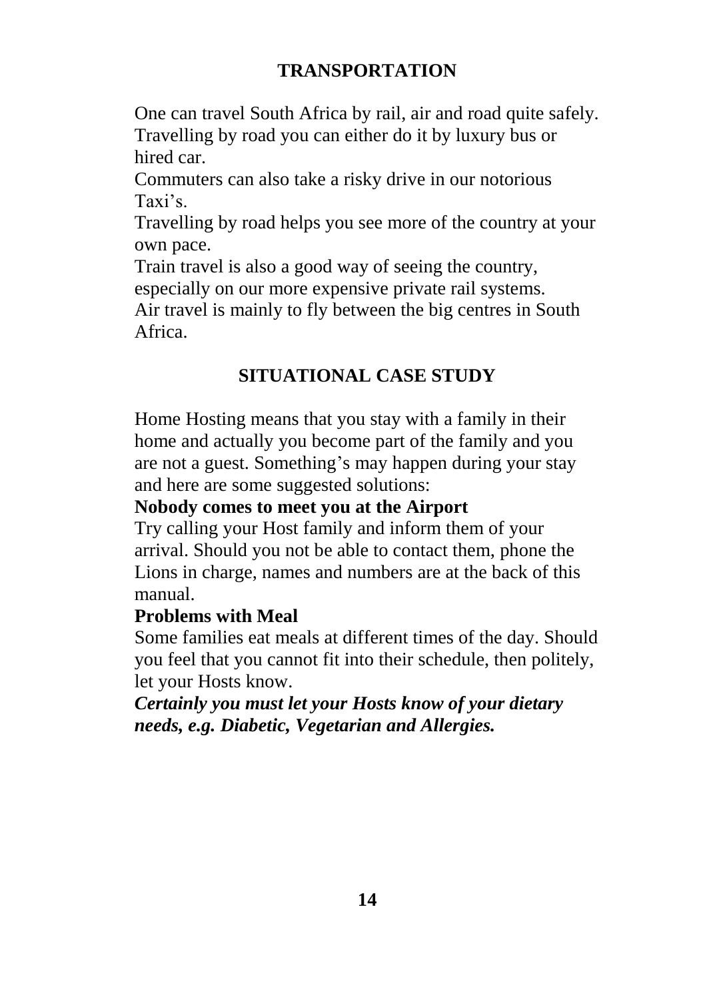# **TRANSPORTATION**

One can travel South Africa by rail, air and road quite safely. Travelling by road you can either do it by luxury bus or hired car.

Commuters can also take a risky drive in our notorious Taxi's.

Travelling by road helps you see more of the country at your own pace.

Train travel is also a good way of seeing the country,

especially on our more expensive private rail systems.

Air travel is mainly to fly between the big centres in South Africa.

# **SITUATIONAL CASE STUDY**

Home Hosting means that you stay with a family in their home and actually you become part of the family and you are not a guest. Something's may happen during your stay and here are some suggested solutions:

# **Nobody comes to meet you at the Airport**

Try calling your Host family and inform them of your arrival. Should you not be able to contact them, phone the Lions in charge, names and numbers are at the back of this manual.

## **Problems with Meal**

Some families eat meals at different times of the day. Should you feel that you cannot fit into their schedule, then politely, let your Hosts know.

*Certainly you must let your Hosts know of your dietary needs, e.g. Diabetic, Vegetarian and Allergies.*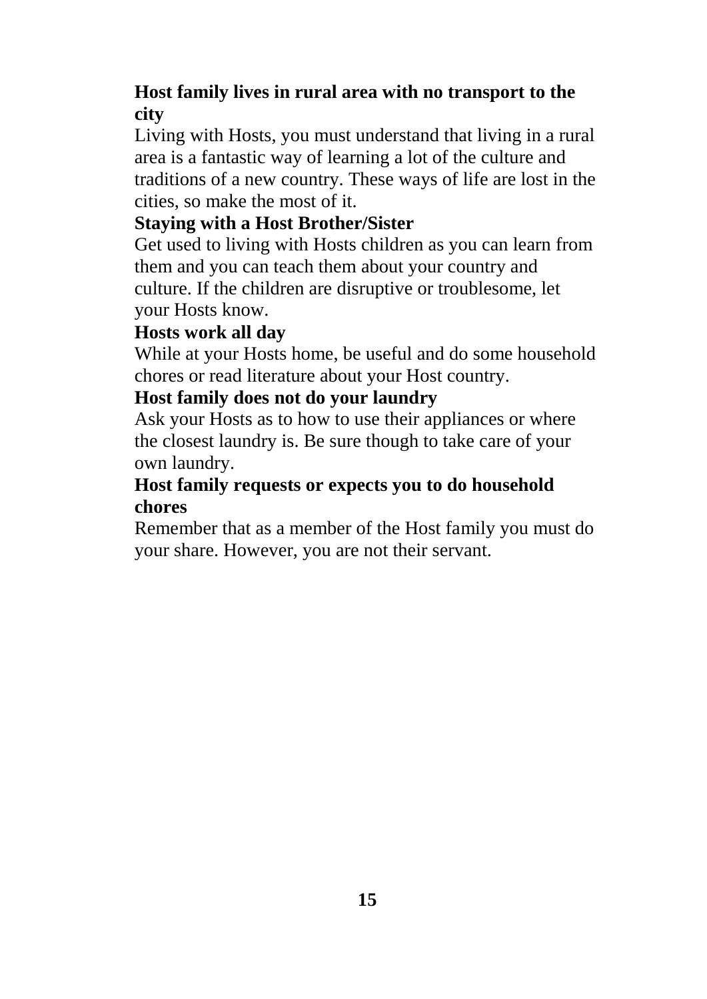# **Host family lives in rural area with no transport to the city**

Living with Hosts, you must understand that living in a rural area is a fantastic way of learning a lot of the culture and traditions of a new country. These ways of life are lost in the cities, so make the most of it.

## **Staying with a Host Brother/Sister**

Get used to living with Hosts children as you can learn from them and you can teach them about your country and culture. If the children are disruptive or troublesome, let your Hosts know.

#### **Hosts work all day**

While at your Hosts home, be useful and do some household chores or read literature about your Host country.

#### **Host family does not do your laundry**

Ask your Hosts as to how to use their appliances or where the closest laundry is. Be sure though to take care of your own laundry.

## **Host family requests or expects you to do household chores**

Remember that as a member of the Host family you must do your share. However, you are not their servant.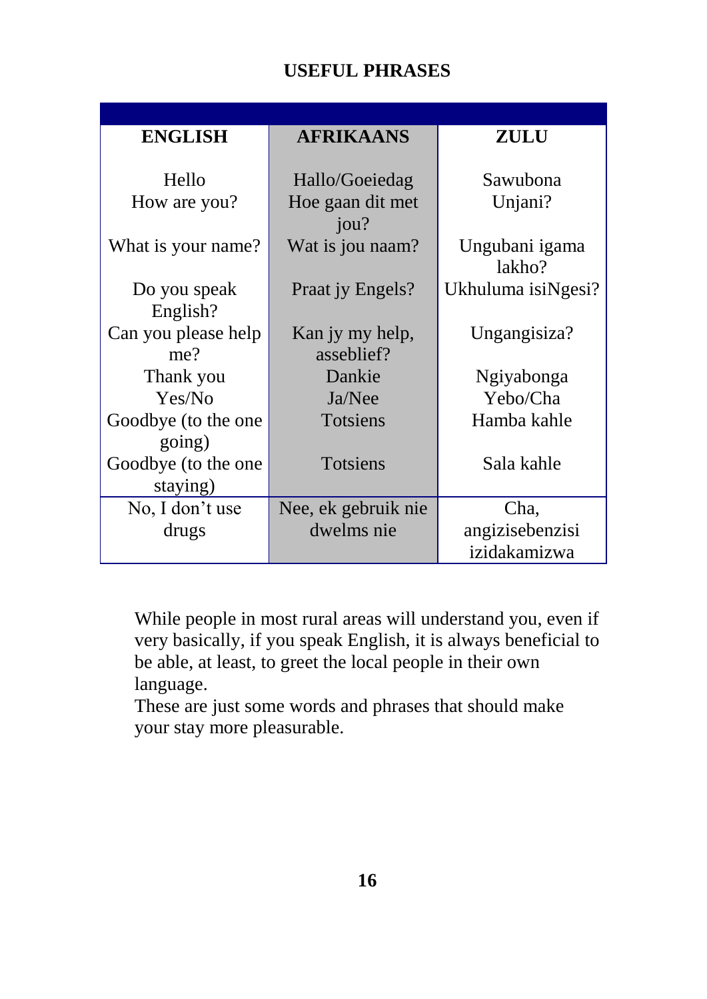# **USEFUL PHRASES**

| <b>ENGLISH</b>      | <b>AFRIKAANS</b>    | <b>ZULU</b>        |
|---------------------|---------------------|--------------------|
|                     |                     |                    |
| Hello               | Hallo/Goeiedag      | Sawubona           |
| How are you?        | Hoe gaan dit met    | Unjani?            |
|                     | jou?                |                    |
| What is your name?  | Wat is jou naam?    | Ungubani igama     |
|                     |                     | lakho?             |
| Do you speak        | Praat jy Engels?    | Ukhuluma isiNgesi? |
| English?            |                     |                    |
| Can you please help | Kan jy my help,     | Ungangisiza?       |
| me?                 | asseblief?          |                    |
| Thank you           | Dankie              | Ngiyabonga         |
| Yes/No              | Ja/Nee              | Yebo/Cha           |
| Goodbye (to the one | <b>Totsiens</b>     | Hamba kahle        |
| going)              |                     |                    |
| Goodbye (to the one | <b>Totsiens</b>     | Sala kahle         |
| staying)            |                     |                    |
| No, I don't use     | Nee, ek gebruik nie | Cha,               |
| drugs               | dwelms nie          | angizisebenzisi    |
|                     |                     | izidakamizwa       |

While people in most rural areas will understand you, even if very basically, if you speak English, it is always beneficial to be able, at least, to greet the local people in their own language.

These are just some words and phrases that should make your stay more pleasurable.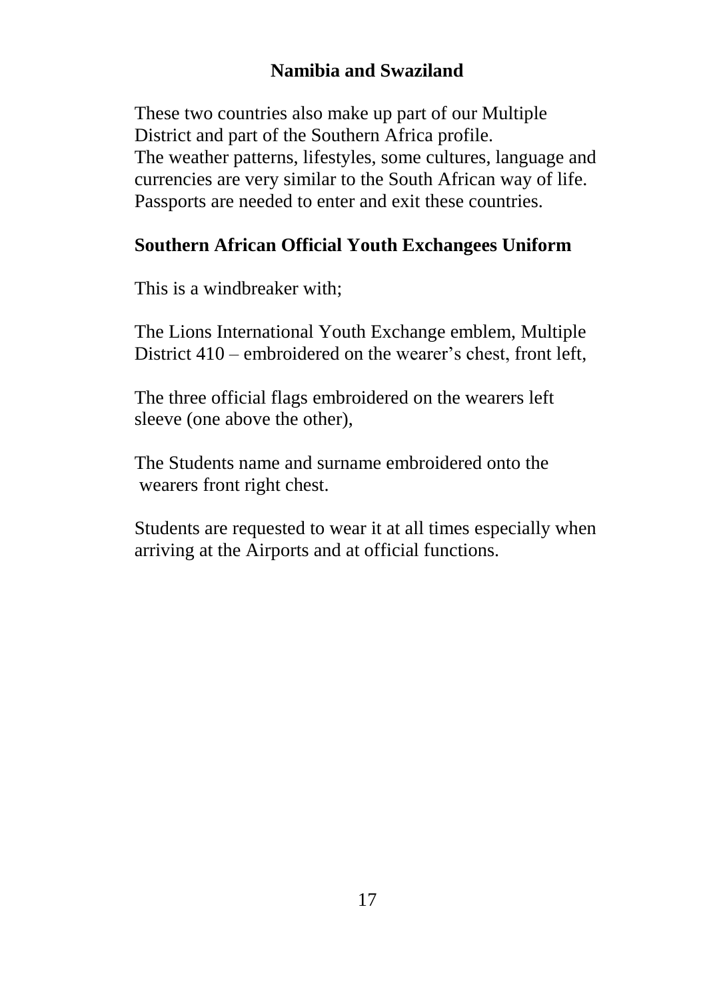# **Namibia and Swaziland**

These two countries also make up part of our Multiple District and part of the Southern Africa profile. The weather patterns, lifestyles, some cultures, language and currencies are very similar to the South African way of life. Passports are needed to enter and exit these countries.

## **Southern African Official Youth Exchangees Uniform**

This is a windbreaker with;

The Lions International Youth Exchange emblem, Multiple District 410 – embroidered on the wearer's chest, front left,

The three official flags embroidered on the wearers left sleeve (one above the other),

The Students name and surname embroidered onto the wearers front right chest.

Students are requested to wear it at all times especially when arriving at the Airports and at official functions.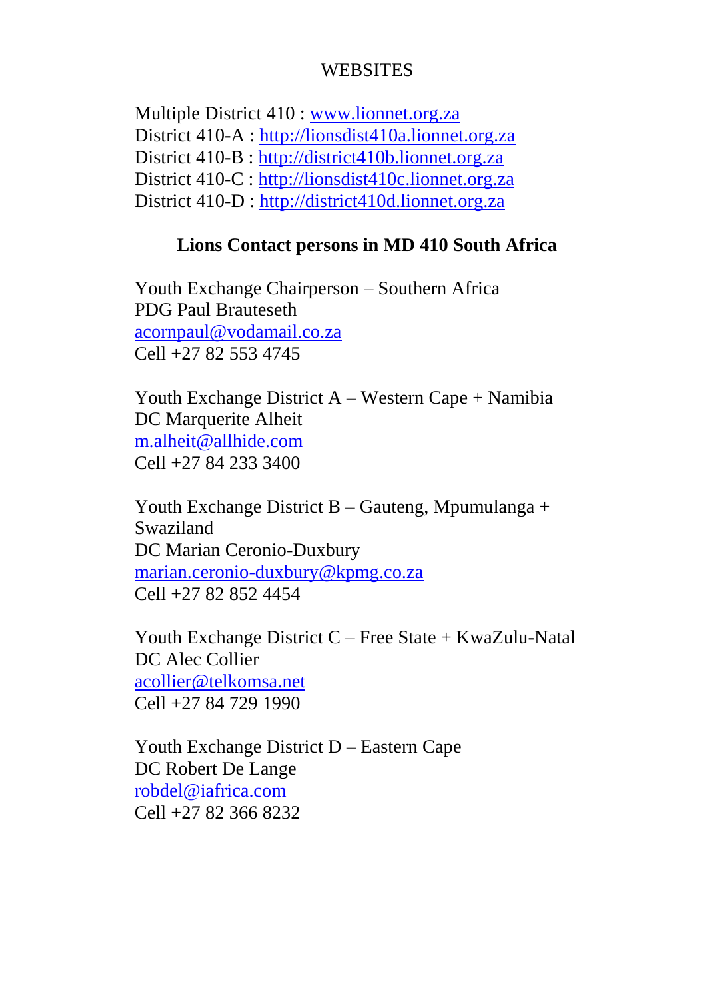### WEBSITES

Multiple District 410 : [www.lionnet.org.za](http://www.lionnet.org.za/) District 410-A : [http://lionsdist410a.lionnet.org.za](http://lionsdist410a.lionnet.org.za/) District 410-B : [http://district410b.lionnet.org.za](http://district410b.lionnet.org.za/) District 410-C : [http://lionsdist410c.lionnet.org.za](http://lionsdist410c.lionnet.org.za/) District 410-D : [http://district410d.lionnet.org.za](http://district410d.lionnet.org.za/)

## **Lions Contact persons in MD 410 South Africa**

Youth Exchange Chairperson – Southern Africa PDG Paul Brauteseth [acornpaul@vodamail.co.za](mailto:acornpaul@vodamail.co.za) Cell +27 82 553 4745

Youth Exchange District A – Western Cape + Namibia DC Marquerite Alheit [m.alheit@allhide.com](mailto:m.alheit@allhide.com) Cell +27 84 233 3400

Youth Exchange District B – Gauteng, Mpumulanga + Swaziland DC Marian Ceronio-Duxbury [marian.ceronio-duxbury@kpmg.co.za](mailto:marian.ceronio-duxbury@kpmg.co.za) Cell +27 82 852 4454

Youth Exchange District C – Free State + KwaZulu-Natal DC Alec Collier [acollier@telkomsa.net](mailto:acollier@telkomsa.net) Cell +27 84 729 1990

Youth Exchange District D – Eastern Cape DC Robert De Lange [robdel@iafrica.com](mailto:robdel@iafrica.com) Cell +27 82 366 8232